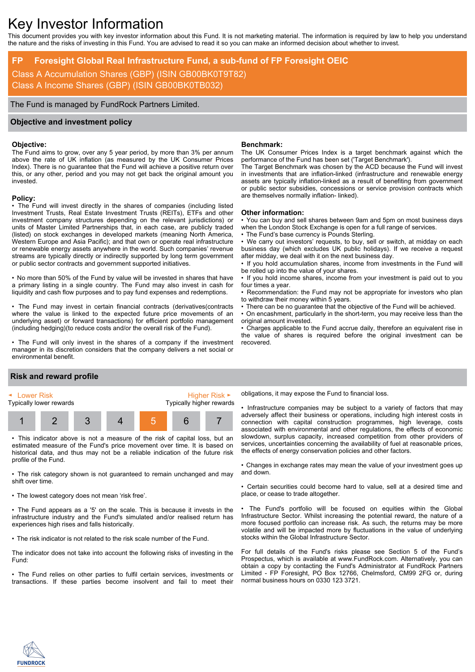# Key Investor Information

This document provides you with key investor information about this Fund. It is not marketing material. The information is required by law to help you understand the nature and the risks of investing in this Fund. You are advised to read it so you can make an informed decision about whether to invest.

# **FP Foresight Global Real Infrastructure Fund, a sub-fund of FP Foresight OEIC**

Class A Accumulation Shares (GBP) (ISIN GB00BK0T9T82) Class A Income Shares (GBP) (ISIN GB00BK0TB032)

The Fund is managed by FundRock Partners Limited.

## **Objective and investment policy**

### **Objective:**

The Fund aims to grow, over any 5 year period, by more than 3% per annum above the rate of UK inflation (as measured by the UK Consumer Prices Index). There is no guarantee that the Fund will achieve a positive return over this, or any other, period and you may not get back the original amount you invested.

#### **Policy:**

• The Fund will invest directly in the shares of companies (including listed Investment Trusts, Real Estate Investment Trusts (REITs), ETFs and other investment company structures depending on the relevant jurisdictions) or units of Master Limited Partnerships that, in each case, are publicly traded (listed) on stock exchanges in developed markets (meaning North America, Western Europe and Asia Pacific); and that own or operate real infrastructure or renewable energy assets anywhere in the world. Such companies' revenue streams are typically directly or indirectly supported by long term government or public sector contracts and government supported initiatives.

• No more than 50% of the Fund by value will be invested in shares that have a primary listing in a single country. The Fund may also invest in cash for liquidity and cash flow purposes and to pay fund expenses and redemptions.

• The Fund may invest in certain financial contracts (derivatives(contracts where the value is linked to the expected future price movements of an underlying asset) or forward transactions) for efficient portfolio management (including hedging)(to reduce costs and/or the overall risk of the Fund).

• The Fund will only invest in the shares of a company if the investment manager in its discretion considers that the company delivers a net social or environmental benefit.

## **Benchmark:**

The UK Consumer Prices Index is a target benchmark against which the performance of the Fund has been set ('Target Benchmark').

The Target Benchmark was chosen by the ACD because the Fund will invest in investments that are inflation-linked (infrastructure and renewable energy assets are typically inflation-linked as a result of benefiting from government or public sector subsidies, concessions or service provision contracts which are themselves normally inflation- linked).

#### **Other information:**

• You can buy and sell shares between 9am and 5pm on most business days when the London Stock Exchange is open for a full range of services.

The Fund's base currency is Pounds Sterling.

• We carry out investors' requests, to buy, sell or switch, at midday on each business day (which excludes UK public holidays). If we receive a request after midday, we deal with it on the next business day.

• If you hold accumulation shares, income from investments in the Fund will be rolled up into the value of your shares.

• If you hold income shares, income from your investment is paid out to you four times a year.

• Recommendation: the Fund may not be appropriate for investors who plan to withdraw their money within 5 years.

There can be no guarantee that the objective of the Fund will be achieved. • On encashment, particularly in the short-term, you may receive less than the original amount invested.

• Charges applicable to the Fund accrue daily, therefore an equivalent rise in the value of shares is required before the original investment can be recovered.

# **Risk and reward profile**



• This indicator above is not a measure of the risk of capital loss, but an estimated measure of the Fund's price movement over time. It is based on historical data, and thus may not be a reliable indication of the future risk profile of the Fund.

• The risk category shown is not guaranteed to remain unchanged and may shift over time.

• The lowest category does not mean 'risk free'.

• The Fund appears as a '5' on the scale. This is because it invests in the infrastructure industry and the Fund's simulated and/or realised return has experiences high rises and falls historically.

• The risk indicator is not related to the risk scale number of the Fund.

The indicator does not take into account the following risks of investing in the Fund:

• The Fund relies on other parties to fulfil certain services, investments or transactions. If these parties become insolvent and fail to meet their

obligations, it may expose the Fund to financial loss.

Infrastructure companies may be subiect to a variety of factors that may adversely affect their business or operations, including high interest costs in connection with capital construction programmes, high leverage, costs associated with environmental and other regulations, the effects of economic slowdown, surplus capacity, increased competition from other providers of services, uncertainties concerning the availability of fuel at reasonable prices. the effects of energy conservation policies and other factors.

• Changes in exchange rates may mean the value of your investment goes up and down.

• Certain securities could become hard to value, sell at a desired time and place, or cease to trade altogether.

The Fund's portfolio will be focused on equities within the Global Infrastructure Sector. Whilst increasing the potential reward, the nature of a more focused portfolio can increase risk. As such, the returns may be more volatile and will be impacted more by fluctuations in the value of underlying stocks within the Global Infrastructure Sector.

For full details of the Fund's risks please see Section 5 of the Fund's Prospectus, which is available at www.FundRock.com. Alternatively, you can obtain a copy by contacting the Fund's Administrator at FundRock Partners Limited - FP Foresight, PO Box 12766, Chelmsford, CM99 2FG or, during normal business hours on 0330 123 3721.